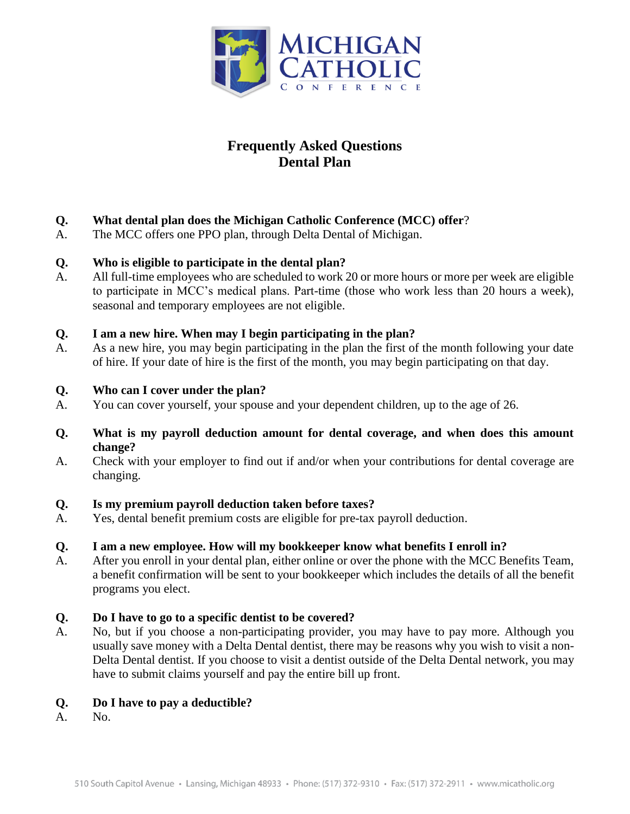

# **Frequently Asked Questions Dental Plan**

- **Q. What dental plan does the Michigan Catholic Conference (MCC) offer**?
- A. The MCC offers one PPO plan, through Delta Dental of Michigan.

# **Q. Who is eligible to participate in the dental plan?**

A. All full-time employees who are scheduled to work 20 or more hours or more per week are eligible to participate in MCC's medical plans. Part-time (those who work less than 20 hours a week), seasonal and temporary employees are not eligible.

## **Q. I am a new hire. When may I begin participating in the plan?**

A. As a new hire, you may begin participating in the plan the first of the month following your date of hire. If your date of hire is the first of the month, you may begin participating on that day.

## **Q. Who can I cover under the plan?**

A. You can cover yourself, your spouse and your dependent children, up to the age of 26.

## **Q. What is my payroll deduction amount for dental coverage, and when does this amount change?**

A. Check with your employer to find out if and/or when your contributions for dental coverage are changing.

#### **Q. Is my premium payroll deduction taken before taxes?**

A. Yes, dental benefit premium costs are eligible for pre-tax payroll deduction.

# **Q. I am a new employee. How will my bookkeeper know what benefits I enroll in?**

A. After you enroll in your dental plan, either online or over the phone with the MCC Benefits Team, a benefit confirmation will be sent to your bookkeeper which includes the details of all the benefit programs you elect.

#### **Q. Do I have to go to a specific dentist to be covered?**

A. No, but if you choose a non-participating provider, you may have to pay more. Although you usually save money with a Delta Dental dentist, there may be reasons why you wish to visit a non-Delta Dental dentist. If you choose to visit a dentist outside of the Delta Dental network, you may have to submit claims yourself and pay the entire bill up front.

#### **Q. Do I have to pay a deductible?**

A. No.